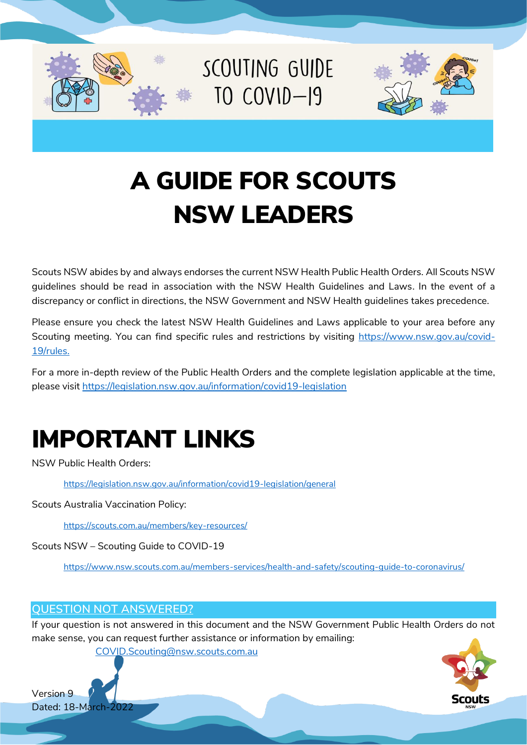

SCOUTING GUIDE  $IO$   $COVID-I9$ 



# A GUIDE FOR SCOUTS NSW LEADERS

Scouts NSW abides by and always endorses the current NSW Health Public Health Orders. All Scouts NSW guidelines should be read in association with the NSW Health Guidelines and Laws. In the event of a discrepancy or conflict in directions, the NSW Government and NSW Health guidelines takes precedence.

Please ensure you check the latest NSW Health Guidelines and Laws applicable to your area before any Scouting meeting. You can find specific rules and restrictions by visiting [https://www.nsw.gov.au/covid-](https://www.nsw.gov.au/covid-19/rules)[19/rules.](https://www.nsw.gov.au/covid-19/rules)

For a more in-depth review of the Public Health Orders and the complete legislation applicable at the time, please visit<https://legislation.nsw.gov.au/information/covid19-legislation>

# IMPORTANT LINKS

NSW Public Health Orders:

<https://legislation.nsw.gov.au/information/covid19-legislation/general>

Scouts Australia Vaccination Policy:

<https://scouts.com.au/members/key-resources/>

Scouts NSW – Scouting Guide to COVID-19

<https://www.nsw.scouts.com.au/members-services/health-and-safety/scouting-guide-to-coronavirus/>

# **QUESTION NOT ANSWERED?**

If your question is not answered in this document and the NSW Government Public Health Orders do not make sense, you can request further assistance or information by emailing:

[COVID.Scouting@nsw.scouts.com.au](mailto:COVID.Scouting@nsw.scouts.com.au)

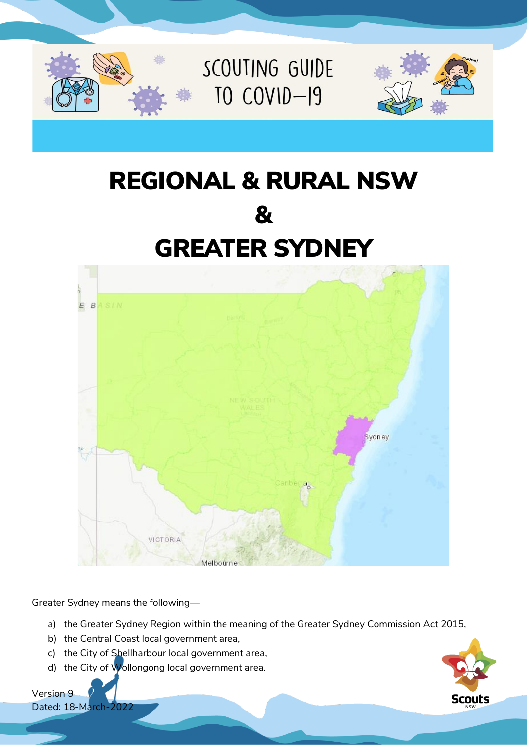

# REGIONAL & RURAL NSW & GREATER SYDNEY



Greater Sydney means the following—

- a) the Greater Sydney Region within the meaning of the Greater Sydney Commission Act 2015,
- b) the Central Coast local government area,
- c) the City of Shellharbour local government area,
- d) the City of Wollongong local government area.



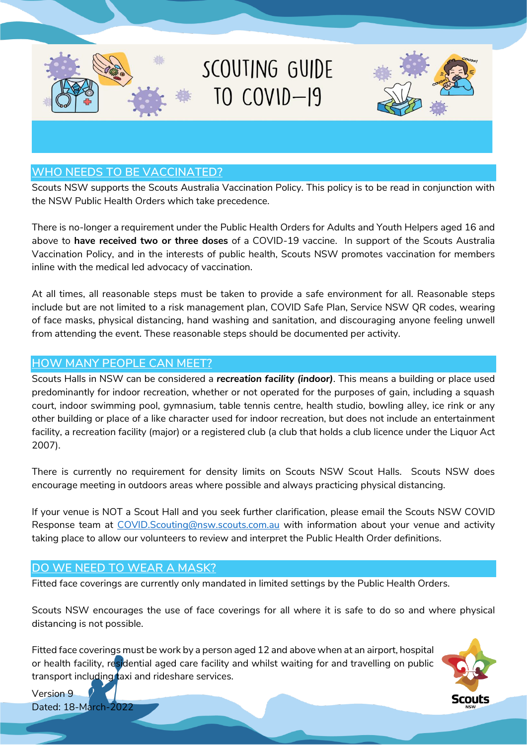

## **WHO NEEDS TO BE VACCINATED?**

Scouts NSW supports the Scouts Australia Vaccination Policy. This policy is to be read in conjunction with the NSW Public Health Orders which take precedence.

There is no-longer a requirement under the Public Health Orders for Adults and Youth Helpers aged 16 and above to **have received two or three doses** of a COVID-19 vaccine. In support of the Scouts Australia Vaccination Policy, and in the interests of public health, Scouts NSW promotes vaccination for members inline with the medical led advocacy of vaccination.

At all times, all reasonable steps must be taken to provide a safe environment for all. Reasonable steps include but are not limited to a risk management plan, COVID Safe Plan, Service NSW QR codes, wearing of face masks, physical distancing, hand washing and sanitation, and discouraging anyone feeling unwell from attending the event. These reasonable steps should be documented per activity.

#### **HOW MANY PEOPLE CAN MEET?**

Scouts Halls in NSW can be considered a *recreation facility (indoor)*. This means a building or place used predominantly for indoor recreation, whether or not operated for the purposes of gain, including a squash court, indoor swimming pool, gymnasium, table tennis centre, health studio, bowling alley, ice rink or any other building or place of a like character used for indoor recreation, but does not include an entertainment facility, a recreation facility (major) or a registered club (a club that holds a club licence under the Liquor Act 2007).

There is currently no requirement for density limits on Scouts NSW Scout Halls. Scouts NSW does encourage meeting in outdoors areas where possible and always practicing physical distancing.

If your venue is NOT a Scout Hall and you seek further clarification, please email the Scouts NSW COVID Response team at [COVID.Scouting@nsw.scouts.com.au](mailto:COVID.Scouting@nsw.scouts.com.au) with information about your venue and activity taking place to allow our volunteers to review and interpret the Public Health Order definitions.

#### **DO WE NEED TO WEAR A MASK?**

Fitted face coverings are currently only mandated in limited settings by the Public Health Orders.

Scouts NSW encourages the use of face coverings for all where it is safe to do so and where physical distancing is not possible.

Fitted face coverings must be work by a person aged 12 and above when at an airport, hospital or health facility, residential aged care facility and whilst waiting for and travelling on public transport including taxi and rideshare services.

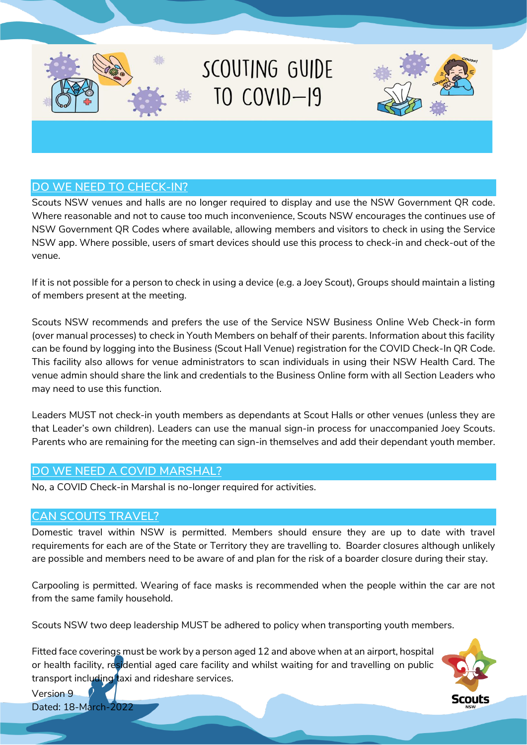

![](_page_3_Picture_1.jpeg)

# **DO WE NEED TO CHECK-IN?**

Scouts NSW venues and halls are no longer required to display and use the NSW Government QR code. Where reasonable and not to cause too much inconvenience, Scouts NSW encourages the continues use of NSW Government QR Codes where available, allowing members and visitors to check in using the Service NSW app. Where possible, users of smart devices should use this process to check-in and check-out of the venue.

If it is not possible for a person to check in using a device (e.g. a Joey Scout), Groups should maintain a listing of members present at the meeting.

Scouts NSW recommends and prefers the use of the Service NSW Business Online Web Check-in form (over manual processes) to check in Youth Members on behalf of their parents. Information about this facility can be found by logging into the Business (Scout Hall Venue) registration for the COVID Check-In QR Code. This facility also allows for venue administrators to scan individuals in using their NSW Health Card. The venue admin should share the link and credentials to the Business Online form with all Section Leaders who may need to use this function.

Leaders MUST not check-in youth members as dependants at Scout Halls or other venues (unless they are that Leader's own children). Leaders can use the manual sign-in process for unaccompanied Joey Scouts. Parents who are remaining for the meeting can sign-in themselves and add their dependant youth member.

#### **DO WE NEED A COVID MARSHAL?**

No, a COVID Check-in Marshal is no-longer required for activities.

## **CAN SCOUTS TRAVEL?**

Domestic travel within NSW is permitted. Members should ensure they are up to date with travel requirements for each are of the State or Territory they are travelling to. Boarder closures although unlikely are possible and members need to be aware of and plan for the risk of a boarder closure during their stay.

Carpooling is permitted. Wearing of face masks is recommended when the people within the car are not from the same family household.

Scouts NSW two deep leadership MUST be adhered to policy when transporting youth members.

Fitted face coverings must be work by a person aged 12 and above when at an airport, hospital or health facility, residential aged care facility and whilst waiting for and travelling on public transport including taxi and rideshare services.

![](_page_3_Picture_14.jpeg)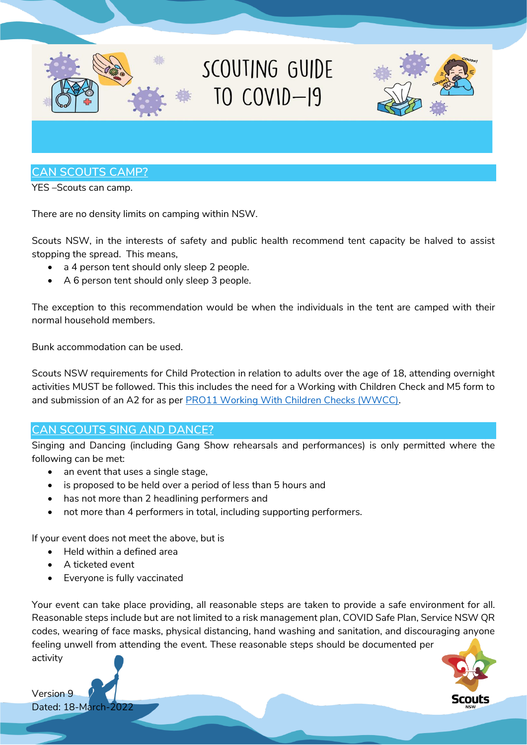![](_page_4_Picture_0.jpeg)

YES –Scouts can camp.

There are no density limits on camping within NSW.

Scouts NSW, in the interests of safety and public health recommend tent capacity be halved to assist stopping the spread. This means,

- a 4 person tent should only sleep 2 people.
- A 6 person tent should only sleep 3 people.

The exception to this recommendation would be when the individuals in the tent are camped with their normal household members.

Bunk accommodation can be used.

Scouts NSW requirements for Child Protection in relation to adults over the age of 18, attending overnight activities MUST be followed. This this includes the need for a Working with Children Check and M5 form to and submission of an A2 for as per [PRO11 Working With Children Checks \(WWCC\).](https://www.nsw.scouts.com.au/wp-content/uploads/2021/07/PRO11-Working-With-Children-Checks-WWCC.pdf)

## **CAN SCOUTS SING AND DANCE?**

Singing and Dancing (including Gang Show rehearsals and performances) is only permitted where the following can be met:

- an event that uses a single stage,
- is proposed to be held over a period of less than 5 hours and
- has not more than 2 headlining performers and
- not more than 4 performers in total, including supporting performers.

If your event does not meet the above, but is

- Held within a defined area
- A ticketed event
- Everyone is fully vaccinated

Your event can take place providing, all reasonable steps are taken to provide a safe environment for all. Reasonable steps include but are not limited to a risk management plan, COVID Safe Plan, Service NSW QR codes, wearing of face masks, physical distancing, hand washing and sanitation, and discouraging anyone feeling unwell from attending the event. These reasonable steps should be documented per activity

![](_page_4_Picture_20.jpeg)

![](_page_4_Picture_21.jpeg)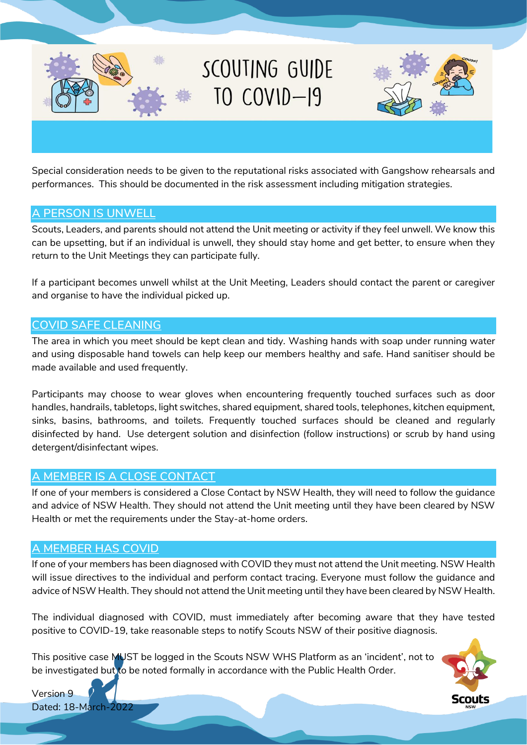![](_page_5_Picture_0.jpeg)

Special consideration needs to be given to the reputational risks associated with Gangshow rehearsals and performances. This should be documented in the risk assessment including mitigation strategies.

#### **A PERSON IS UNWELL**

Scouts, Leaders, and parents should not attend the Unit meeting or activity if they feel unwell. We know this can be upsetting, but if an individual is unwell, they should stay home and get better, to ensure when they return to the Unit Meetings they can participate fully.

If a participant becomes unwell whilst at the Unit Meeting, Leaders should contact the parent or caregiver and organise to have the individual picked up.

#### **COVID SAFE CLEANING**

The area in which you meet should be kept clean and tidy. Washing hands with soap under running water and using disposable hand towels can help keep our members healthy and safe. Hand sanitiser should be made available and used frequently.

Participants may choose to wear gloves when encountering frequently touched surfaces such as door handles, handrails, tabletops, light switches, shared equipment, shared tools, telephones, kitchen equipment, sinks, basins, bathrooms, and toilets. Frequently touched surfaces should be cleaned and regularly disinfected by hand. Use detergent solution and disinfection (follow instructions) or scrub by hand using detergent/disinfectant wipes.

## **A MEMBER IS A CLOSE CONTACT**

If one of your members is considered a Close Contact by NSW Health, they will need to follow the guidance and advice of NSW Health. They should not attend the Unit meeting until they have been cleared by NSW Health or met the requirements under the Stay-at-home orders.

#### **A MEMBER HAS COVID**

If one of your members has been diagnosed with COVID they must not attend the Unit meeting. NSW Health will issue directives to the individual and perform contact tracing. Everyone must follow the guidance and advice of NSW Health. They should not attend the Unit meeting until they have been cleared by NSW Health.

The individual diagnosed with COVID, must immediately after becoming aware that they have tested positive to COVID-19, take reasonable steps to notify Scouts NSW of their positive diagnosis.

This positive case MUST be logged in the Scouts NSW WHS Platform as an 'incident', not to be investigated but to be noted formally in accordance with the Public Health Order.

![](_page_5_Picture_14.jpeg)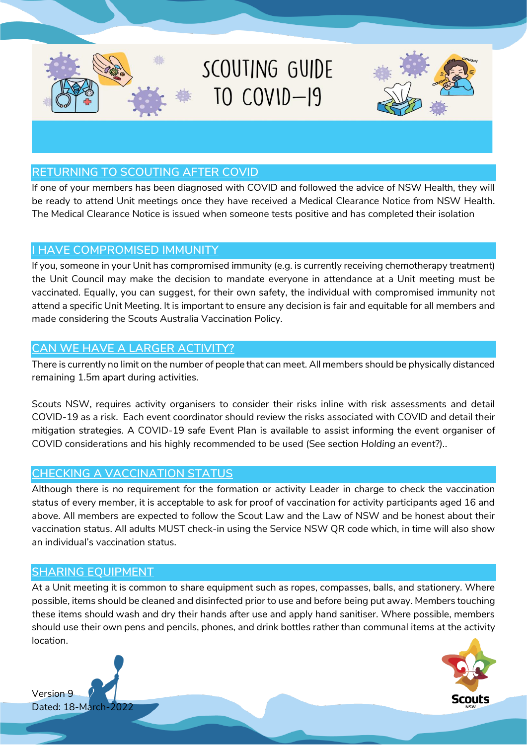![](_page_6_Picture_0.jpeg)

## **RETURNING TO SCOUTING AFTER COVID**

If one of your members has been diagnosed with COVID and followed the advice of NSW Health, they will be ready to attend Unit meetings once they have received a Medical Clearance Notice from NSW Health. The Medical Clearance Notice is issued when someone tests positive and has completed their isolation

#### **I HAVE COMPROMISED IMMUNITY**

If you, someone in your Unit has compromised immunity (e.g. is currently receiving chemotherapy treatment) the Unit Council may make the decision to mandate everyone in attendance at a Unit meeting must be vaccinated. Equally, you can suggest, for their own safety, the individual with compromised immunity not attend a specific Unit Meeting. It is important to ensure any decision is fair and equitable for all members and made considering the Scouts Australia Vaccination Policy.

## **CAN WE HAVE A LARGER ACTIVITY?**

There is currently no limit on the number of people that can meet. All members should be physically distanced remaining 1.5m apart during activities.

Scouts NSW, requires activity organisers to consider their risks inline with risk assessments and detail COVID-19 as a risk. Each event coordinator should review the risks associated with COVID and detail their mitigation strategies. A COVID-19 safe Event Plan is available to assist informing the event organiser of COVID considerations and his highly recommended to be used (See section *Holding an event?).*.

# **CHECKING A VACCINATION STATUS**

Although there is no requirement for the formation or activity Leader in charge to check the vaccination status of every member, it is acceptable to ask for proof of vaccination for activity participants aged 16 and above. All members are expected to follow the Scout Law and the Law of NSW and be honest about their vaccination status. All adults MUST check-in using the Service NSW QR code which, in time will also show an individual's vaccination status.

## **SHARING EQUIPMENT**

At a Unit meeting it is common to share equipment such as ropes, compasses, balls, and stationery. Where possible, items should be cleaned and disinfected prior to use and before being put away. Members touching these items should wash and dry their hands after use and apply hand sanitiser. Where possible, members should use their own pens and pencils, phones, and drink bottles rather than communal items at the activity location.

![](_page_6_Picture_12.jpeg)

![](_page_6_Picture_13.jpeg)